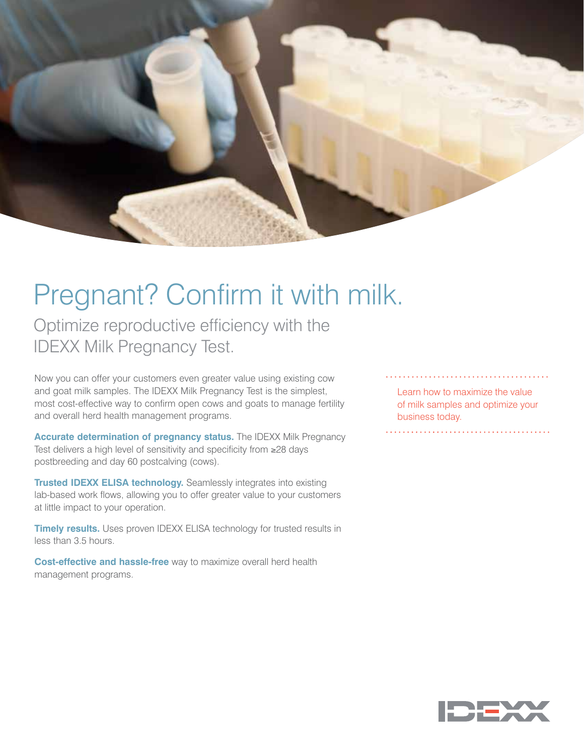

Optimize reproductive efficiency with the IDEXX Milk Pregnancy Test.

Now you can offer your customers even greater value using existing cow and goat milk samples. The IDEXX Milk Pregnancy Test is the simplest, most cost-effective way to confirm open cows and goats to manage fertility and overall herd health management programs.

**Accurate determination of pregnancy status.** The IDEXX Milk Pregnancy Test delivers a high level of sensitivity and specificity from ≥28 days postbreeding and day 60 postcalving (cows).

**Trusted IDEXX ELISA technology.** Seamlessly integrates into existing lab-based work flows, allowing you to offer greater value to your customers at little impact to your operation.

**Timely results.** Uses proven IDEXX ELISA technology for trusted results in less than 3.5 hours.

**Cost-effective and hassle-free** way to maximize overall herd health management programs.

Learn how to maximize the value of milk samples and optimize your business today.